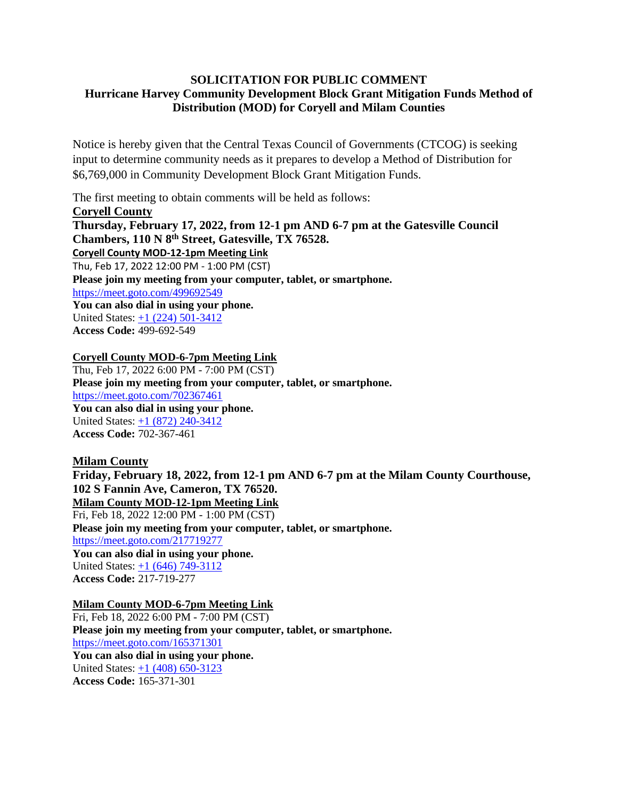## **SOLICITATION FOR PUBLIC COMMENT Hurricane Harvey Community Development Block Grant Mitigation Funds Method of Distribution (MOD) for Coryell and Milam Counties**

Notice is hereby given that the Central Texas Council of Governments (CTCOG) is seeking input to determine community needs as it prepares to develop a Method of Distribution for \$6,769,000 in Community Development Block Grant Mitigation Funds.

The first meeting to obtain comments will be held as follows:

**Coryell County Thursday, February 17, 2022, from 12-1 pm AND 6-7 pm at the Gatesville Council Chambers, 110 N 8th Street, Gatesville, TX 76528. Coryell County MOD-12-1pm Meeting Link** Thu, Feb 17, 2022 12:00 PM - 1:00 PM (CST) **Please join my meeting from your computer, tablet, or smartphone.**  <https://meet.goto.com/499692549> **You can also dial in using your phone.** United States: [+1 \(224\) 501-3412](tel:+12245013412,,499692549) **Access Code:** 499-692-549

## **Coryell County MOD-6-7pm Meeting Link**

Thu, Feb 17, 2022 6:00 PM - 7:00 PM (CST) **Please join my meeting from your computer, tablet, or smartphone.**  <https://meet.goto.com/702367461> **You can also dial in using your phone.** United States: [+1 \(872\) 240-3412](tel:+18722403412,,702367461) **Access Code:** 702-367-461

## **Milam County**

**Friday, February 18, 2022, from 12-1 pm AND 6-7 pm at the Milam County Courthouse, 102 S Fannin Ave, Cameron, TX 76520. Milam County MOD-12-1pm Meeting Link** Fri, Feb 18, 2022 12:00 PM - 1:00 PM (CST) **Please join my meeting from your computer, tablet, or smartphone.**  <https://meet.goto.com/217719277> **You can also dial in using your phone.** United States: [+1 \(646\) 749-3112](tel:+16467493112,,217719277) **Access Code:** 217-719-277

## **Milam County MOD-6-7pm Meeting Link**

Fri, Feb 18, 2022 6:00 PM - 7:00 PM (CST) **Please join my meeting from your computer, tablet, or smartphone.**  <https://meet.goto.com/165371301> **You can also dial in using your phone.** United States: [+1 \(408\) 650-3123](tel:+14086503123,,165371301) **Access Code:** 165-371-301